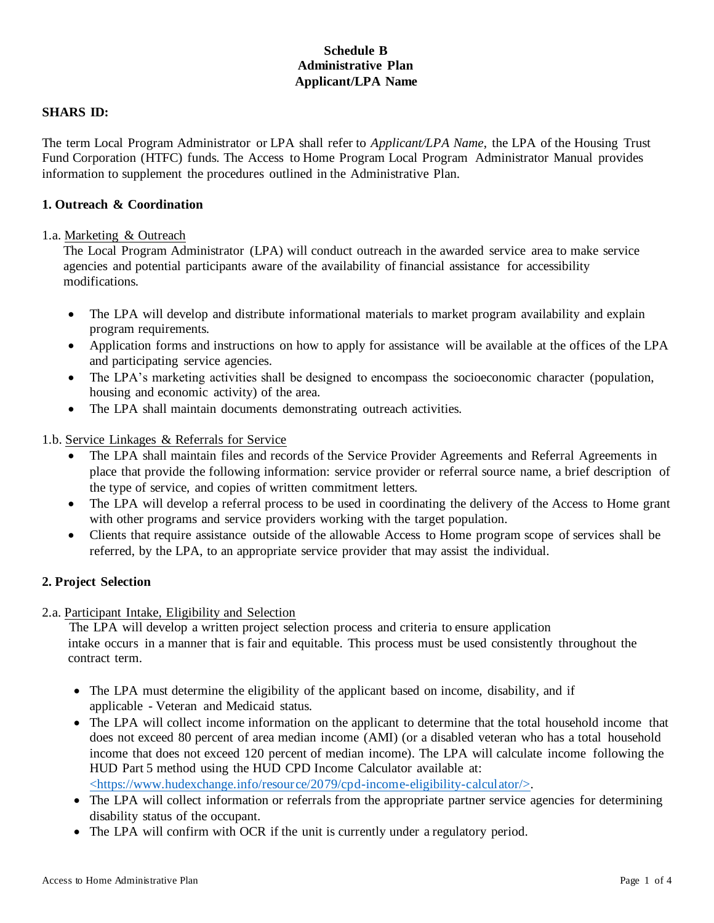# **Schedule B Administrative Plan Applicant/LPA Name**

### **SHARS ID:**

The term Local Program Administrator or LPA shall refer to *Applicant/LPA Name*, the LPA of the Housing Trust Fund Corporation (HTFC) funds. The Access to Home Program Local Program Administrator Manual provides information to supplement the procedures outlined in the Administrative Plan.

## **1. Outreach & Coordination**

### 1.a. Marketing & Outreach

The Local Program Administrator (LPA) will conduct outreach in the awarded service area to make service agencies and potential participants aware of the availability of financial assistance for accessibility modifications.

- The LPA will develop and distribute informational materials to market program availability and explain program requirements.
- Application forms and instructions on how to apply for assistance will be available at the offices of the LPA and participating service agencies.
- The LPA's marketing activities shall be designed to encompass the socioeconomic character (population, housing and economic activity) of the area.
- The LPA shall maintain documents demonstrating outreach activities.
- 1.b. Service Linkages & Referrals for Service
	- The LPA shall maintain files and records of the Service Provider Agreements and Referral Agreements in place that provide the following information: service provider or referral source name, a brief description of the type of service, and copies of written commitment letters.
	- The LPA will develop a referral process to be used in coordinating the delivery of the Access to Home grant with other programs and service providers working with the target population.
	- Clients that require assistance outside of the allowable Access to Home program scope of services shall be referred, by the LPA, to an appropriate service provider that may assist the individual.

# **2. Project Selection**

2.a. Participant Intake, Eligibility and Selection

The LPA will develop a written project selection process and criteria to ensure application intake occurs in a manner that is fair and equitable. This process must be used consistently throughout the contract term.

- The LPA must determine the eligibility of the applicant based on income, disability, and if applicable - Veteran and Medicaid status.
- The LPA will collect income information on the applicant to determine that the total household income that does not exceed 80 percent of area median income (AMI) (or a disabled veteran who has a total household income that does not exceed 120 percent of median income). The LPA will calculate income following the HUD Part 5 method using the HUD CPD Income Calculator available at: <https://www.hudexchange.info/resource/2079/cpd-income-eligibility-calculator/>.
- The LPA will collect information or referrals from the appropriate partner service agencies for determining disability status of the occupant.
- The LPA will confirm with OCR if the unit is currently under a regulatory period.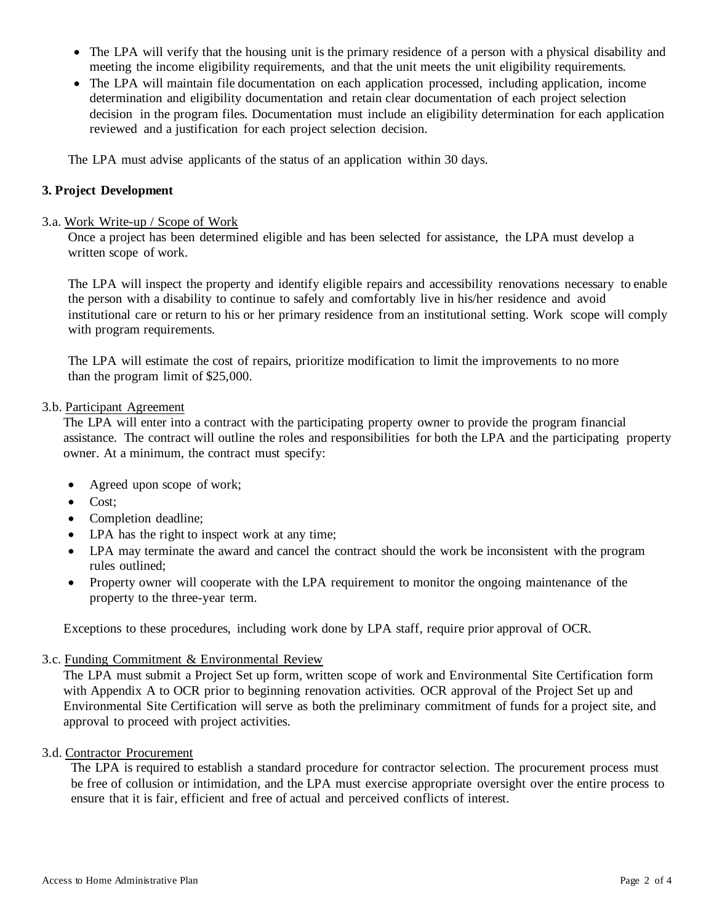- The LPA will verify that the housing unit is the primary residence of a person with a physical disability and meeting the income eligibility requirements, and that the unit meets the unit eligibility requirements.
- The LPA will maintain file documentation on each application processed, including application, income determination and eligibility documentation and retain clear documentation of each project selection decision in the program files. Documentation must include an eligibility determination for each application reviewed and a justification for each project selection decision.

The LPA must advise applicants of the status of an application within 30 days.

## **3. Project Development**

### 3.a. Work Write-up / Scope of Work

Once a project has been determined eligible and has been selected for assistance, the LPA must develop a written scope of work.

The LPA will inspect the property and identify eligible repairs and accessibility renovations necessary to enable the person with a disability to continue to safely and comfortably live in his/her residence and avoid institutional care or return to his or her primary residence from an institutional setting. Work scope will comply with program requirements.

The LPA will estimate the cost of repairs, prioritize modification to limit the improvements to no more than the program limit of \$25,000.

#### 3.b. Participant Agreement

The LPA will enter into a contract with the participating property owner to provide the program financial assistance. The contract will outline the roles and responsibilities for both the LPA and the participating property owner. At a minimum, the contract must specify:

- Agreed upon scope of work;
- Cost;
- Completion deadline;
- LPA has the right to inspect work at any time;
- LPA may terminate the award and cancel the contract should the work be inconsistent with the program rules outlined;
- Property owner will cooperate with the LPA requirement to monitor the ongoing maintenance of the property to the three-year term.

Exceptions to these procedures, including work done by LPA staff, require prior approval of OCR.

### 3.c. Funding Commitment & Environmental Review

The LPA must submit a Project Set up form, written scope of work and Environmental Site Certification form with Appendix A to OCR prior to beginning renovation activities. OCR approval of the Project Set up and Environmental Site Certification will serve as both the preliminary commitment of funds for a project site, and approval to proceed with project activities.

### 3.d. Contractor Procurement

The LPA is required to establish a standard procedure for contractor selection. The procurement process must be free of collusion or intimidation, and the LPA must exercise appropriate oversight over the entire process to ensure that it is fair, efficient and free of actual and perceived conflicts of interest.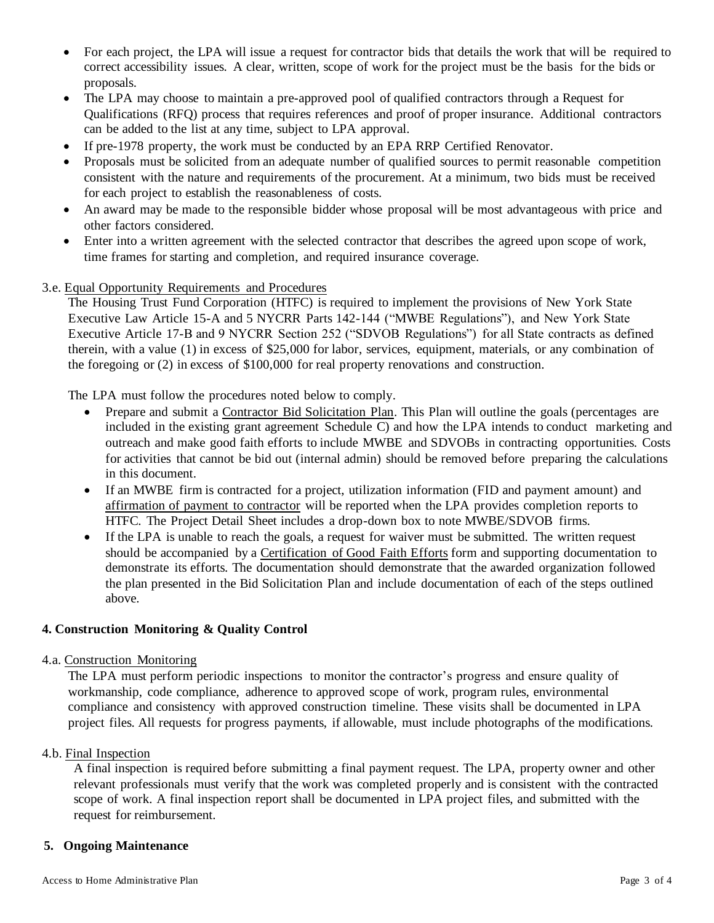- For each project, the LPA will issue a request for contractor bids that details the work that will be required to correct accessibility issues. A clear, written, scope of work for the project must be the basis for the bids or proposals.
- The LPA may choose to maintain a pre-approved pool of qualified contractors through a Request for Qualifications (RFQ) process that requires references and proof of proper insurance. Additional contractors can be added to the list at any time, subject to LPA approval.
- If pre-1978 property, the work must be conducted by an EPA RRP Certified Renovator.
- Proposals must be solicited from an adequate number of qualified sources to permit reasonable competition consistent with the nature and requirements of the procurement. At a minimum, two bids must be received for each project to establish the reasonableness of costs.
- An award may be made to the responsible bidder whose proposal will be most advantageous with price and other factors considered.
- Enter into a written agreement with the selected contractor that describes the agreed upon scope of work, time frames for starting and completion, and required insurance coverage.
- 3.e. Equal Opportunity Requirements and Procedures

The Housing Trust Fund Corporation (HTFC) is required to implement the provisions of New York State Executive Law Article 15-A and 5 NYCRR Parts 142-144 ("MWBE Regulations"), and New York State Executive Article 17-B and 9 NYCRR Section 252 ("SDVOB Regulations") for all State contracts as defined therein, with a value (1) in excess of \$25,000 for labor, services, equipment, materials, or any combination of the foregoing or (2) in excess of \$100,000 for real property renovations and construction.

The LPA must follow the procedures noted below to comply.

- Prepare and submit a Contractor Bid Solicitation Plan. This Plan will outline the goals (percentages are included in the existing grant agreement Schedule C) and how the LPA intends to conduct marketing and outreach and make good faith efforts to include MWBE and SDVOBs in contracting opportunities. Costs for activities that cannot be bid out (internal admin) should be removed before preparing the calculations in this document.
- If an MWBE firm is contracted for a project, utilization information (FID and payment amount) and affirmation of payment to contractor will be reported when the LPA provides completion reports to HTFC. The Project Detail Sheet includes a drop-down box to note MWBE/SDVOB firms.
- If the LPA is unable to reach the goals, a request for waiver must be submitted. The written request should be accompanied by a Certification of Good Faith Efforts form and supporting documentation to demonstrate its efforts. The documentation should demonstrate that the awarded organization followed the plan presented in the Bid Solicitation Plan and include documentation of each of the steps outlined above.

# **4. Construction Monitoring & Quality Control**

### 4.a. Construction Monitoring

The LPA must perform periodic inspections to monitor the contractor's progress and ensure quality of workmanship, code compliance, adherence to approved scope of work, program rules, environmental compliance and consistency with approved construction timeline. These visits shall be documented in LPA project files. All requests for progress payments, if allowable, must include photographs of the modifications.

## 4.b. Final Inspection

A final inspection is required before submitting a final payment request. The LPA, property owner and other relevant professionals must verify that the work was completed properly and is consistent with the contracted scope of work. A final inspection report shall be documented in LPA project files, and submitted with the request for reimbursement.

### **5. Ongoing Maintenance**